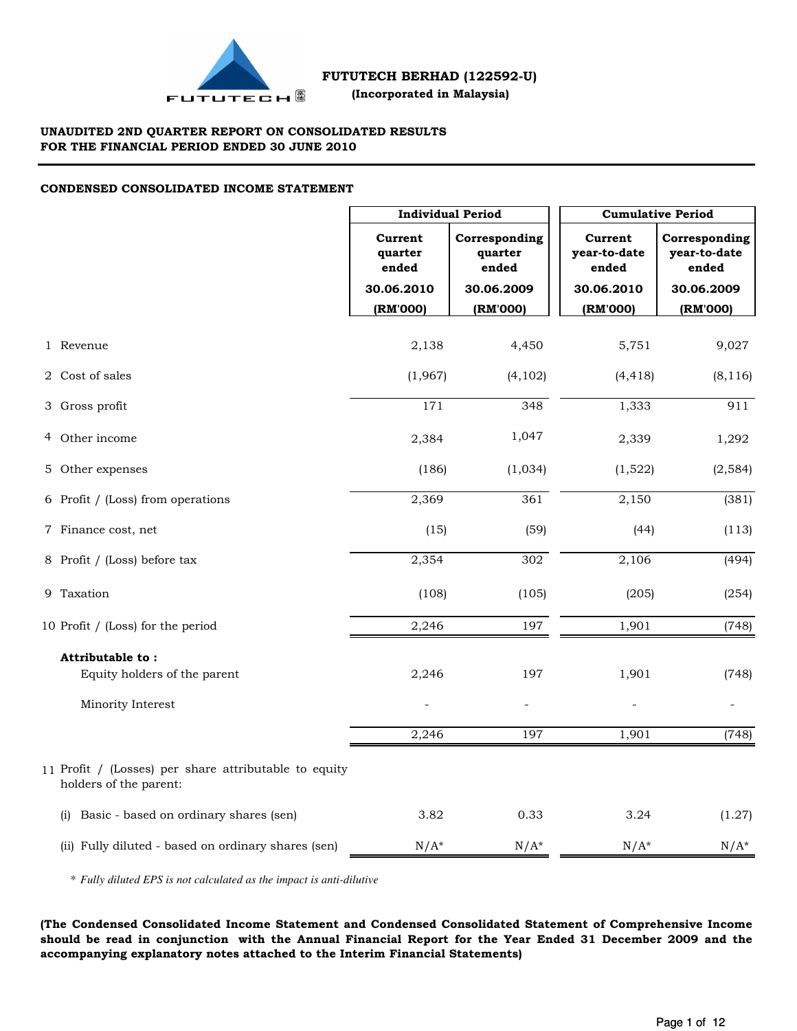

## **UNAUDITED 2ND QUARTER REPORT ON CONSOLIDATED RESULTS FOR THE FINANCIAL PERIOD ENDED 30 JUNE 2010**

# **CONDENSED CONSOLIDATED INCOME STATEMENT**

|                                                                                 |                             | <b>Individual Period</b>          |                                  | <b>Cumulative Period</b>               |  |  |  |
|---------------------------------------------------------------------------------|-----------------------------|-----------------------------------|----------------------------------|----------------------------------------|--|--|--|
|                                                                                 | Current<br>quarter<br>ended | Corresponding<br>quarter<br>ended | Current<br>year-to-date<br>ended | Corresponding<br>year-to-date<br>ended |  |  |  |
|                                                                                 | 30.06.2010<br>(RM'000)      | 30.06.2009<br>(RM'000)            | 30.06.2010<br>(RM'000)           | 30.06.2009<br>(RM'000)                 |  |  |  |
|                                                                                 |                             |                                   |                                  |                                        |  |  |  |
| 1 Revenue                                                                       | 2,138                       | 4,450                             | 5,751                            | 9,027                                  |  |  |  |
| 2 Cost of sales                                                                 | (1,967)                     | (4, 102)                          | (4, 418)                         | (8, 116)                               |  |  |  |
| 3 Gross profit                                                                  | 171                         | 348                               | 1,333                            | 911                                    |  |  |  |
| 4 Other income                                                                  | 2,384                       | 1,047                             | 2,339                            | 1,292                                  |  |  |  |
| 5 Other expenses                                                                | (186)                       | (1,034)                           | (1,522)                          | (2, 584)                               |  |  |  |
| 6 Profit / (Loss) from operations                                               | 2,369                       | 361                               | 2,150                            | (381)                                  |  |  |  |
| 7 Finance cost, net                                                             | (15)                        | (59)                              | (44)                             | (113)                                  |  |  |  |
| 8 Profit / (Loss) before tax                                                    | 2,354                       | 302                               | 2,106                            | (494)                                  |  |  |  |
| 9 Taxation                                                                      | (108)                       | (105)                             | (205)                            | (254)                                  |  |  |  |
| 10 Profit / (Loss) for the period                                               | 2,246                       | 197                               | 1,901                            | (748)                                  |  |  |  |
| Attributable to:                                                                |                             |                                   |                                  |                                        |  |  |  |
| Equity holders of the parent                                                    | 2,246                       | 197                               | 1,901                            | (748)                                  |  |  |  |
| Minority Interest                                                               |                             |                                   |                                  |                                        |  |  |  |
|                                                                                 | 2,246                       | 197                               | 1,901                            | (748)                                  |  |  |  |
| 11 Profit / (Losses) per share attributable to equity<br>holders of the parent: |                             |                                   |                                  |                                        |  |  |  |
| Basic - based on ordinary shares (sen)<br>(i)                                   | 3.82                        | 0.33                              | 3.24                             | (1.27)                                 |  |  |  |
| (ii) Fully diluted - based on ordinary shares (sen)                             | $N/A^*$                     | $N/A^*$                           | $N/A^*$                          | $N/A^*$                                |  |  |  |

\* *Fully diluted EPS is not calculated as the impact is anti-dilutive*

**(The Condensed Consolidated Income Statement and Condensed Consolidated Statement of Comprehensive Income should be read in conjunction with the Annual Financial Report for the Year Ended 31 December 2009 and the accompanying explanatory notes attached to the Interim Financial Statements)**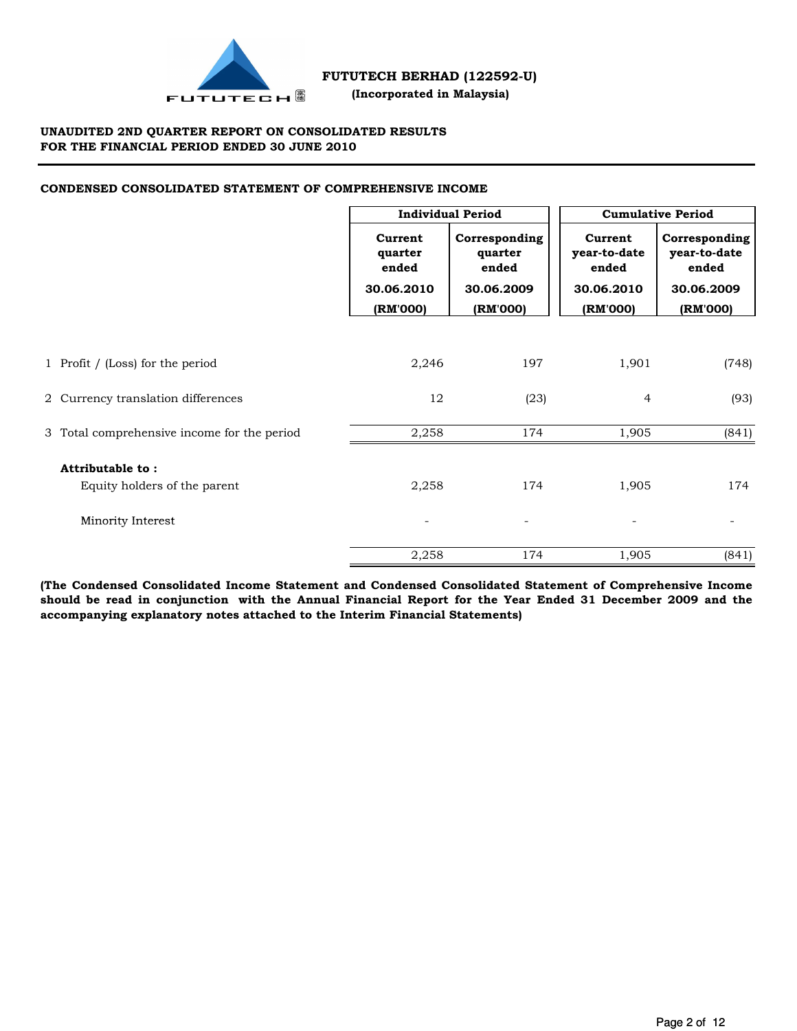

## **UNAUDITED 2ND QUARTER REPORT ON CONSOLIDATED RESULTS FOR THE FINANCIAL PERIOD ENDED 30 JUNE 2010**

# **CONDENSED CONSOLIDATED STATEMENT OF COMPREHENSIVE INCOME**

|                                                  | <b>Individual Period</b>    |                                   | <b>Cumulative Period</b>         |                                        |  |
|--------------------------------------------------|-----------------------------|-----------------------------------|----------------------------------|----------------------------------------|--|
|                                                  | Current<br>quarter<br>ended | Corresponding<br>quarter<br>ended | Current<br>year-to-date<br>ended | Corresponding<br>year-to-date<br>ended |  |
|                                                  | 30.06.2010                  | 30.06.2009                        | 30.06.2010                       | 30.06.2009                             |  |
|                                                  | (RM'000)                    | (RM'000)                          | (RM'000)                         | (RM'000)                               |  |
| 1 Profit / (Loss) for the period                 | 2,246                       | 197                               | 1,901                            | (748)                                  |  |
| 2 Currency translation differences               | 12                          | (23)                              | $\overline{4}$                   | (93)                                   |  |
| 3 Total comprehensive income for the period      | 2,258                       | 174                               | 1,905                            | (841)                                  |  |
| Attributable to:<br>Equity holders of the parent | 2,258                       | 174                               | 1,905                            | 174                                    |  |
| Minority Interest                                |                             | $\overline{\phantom{a}}$          |                                  |                                        |  |
|                                                  | 2,258                       | 174                               | 1,905                            | (841)                                  |  |

**(The Condensed Consolidated Income Statement and Condensed Consolidated Statement of Comprehensive Income should be read in conjunction with the Annual Financial Report for the Year Ended 31 December 2009 and the accompanying explanatory notes attached to the Interim Financial Statements)**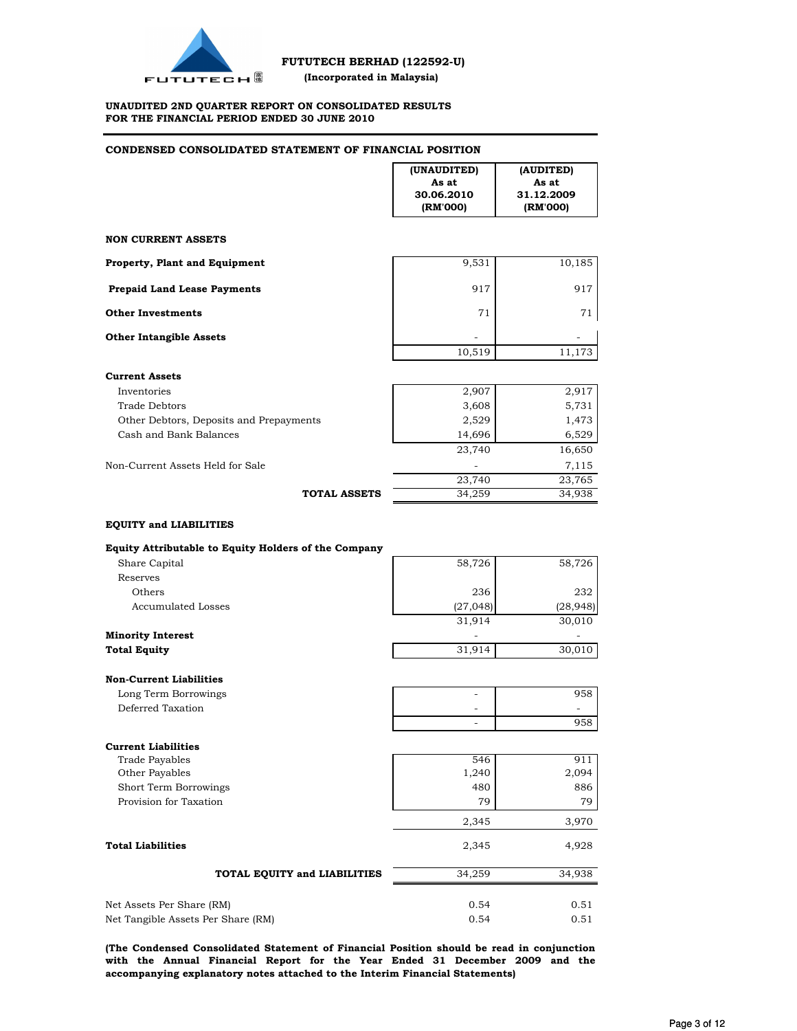

### **UNAUDITED 2ND QUARTER REPORT ON CONSOLIDATED RESULTS FOR THE FINANCIAL PERIOD ENDED 30 JUNE 2010**

# **CONDENSED CONSOLIDATED STATEMENT OF FINANCIAL POSITION**

|                                                                                                                          | (UNAUDITED)<br>As at<br>30.06.2010<br>(RM'000) | (AUDITED)<br>As at<br>31.12.2009<br>(RM'000) |
|--------------------------------------------------------------------------------------------------------------------------|------------------------------------------------|----------------------------------------------|
| <b>NON CURRENT ASSETS</b>                                                                                                |                                                |                                              |
| <b>Property, Plant and Equipment</b>                                                                                     | 9,531                                          | 10,185                                       |
| <b>Prepaid Land Lease Payments</b>                                                                                       | 917                                            | 917                                          |
| <b>Other Investments</b>                                                                                                 | 71                                             | 71                                           |
| <b>Other Intangible Assets</b>                                                                                           | 10,519                                         | 11,173                                       |
| <b>Current Assets</b>                                                                                                    |                                                |                                              |
| Inventories<br><b>Trade Debtors</b><br>Other Debtors, Deposits and Prepayments<br>Cash and Bank Balances                 | 2,907<br>3,608<br>2,529<br>14,696              | 2,917<br>5,731<br>1,473<br>6,529             |
| Non-Current Assets Held for Sale                                                                                         | 23,740                                         | 16,650<br>7,115                              |
| <b>TOTAL ASSETS</b>                                                                                                      | 23,740<br>34,259                               | 23,765<br>34,938                             |
| <b>EQUITY and LIABILITIES</b>                                                                                            |                                                |                                              |
| <b>Equity Attributable to Equity Holders of the Company</b><br>Share Capital                                             | 58,726                                         | 58,726                                       |
| Reserves<br>Others                                                                                                       | 236                                            | 232                                          |
| <b>Accumulated Losses</b>                                                                                                | (27, 048)<br>31,914                            | (28, 948)<br>30,010                          |
| <b>Minority Interest</b>                                                                                                 |                                                |                                              |
| <b>Total Equity</b>                                                                                                      | 31,914                                         | 30,010                                       |
| <b>Non-Current Liabilities</b><br>Long Term Borrowings                                                                   |                                                | 958                                          |
| Deferred Taxation                                                                                                        |                                                |                                              |
|                                                                                                                          | $\overline{\phantom{a}}$                       | 958                                          |
| <b>Current Liabilities</b><br><b>Trade Payables</b><br>Other Payables<br>Short Term Borrowings<br>Provision for Taxation | 546<br>1,240<br>480<br>79                      | 911<br>2,094<br>886<br>79                    |
|                                                                                                                          | 2,345                                          | 3,970                                        |
| <b>Total Liabilities</b>                                                                                                 | 2,345                                          | 4,928                                        |
| TOTAL EQUITY and LIABILITIES                                                                                             | 34,259                                         | 34,938                                       |
| Net Assets Per Share (RM)<br>Net Tangible Assets Per Share (RM)                                                          | 0.54<br>0.54                                   | 0.51<br>0.51                                 |

**(The Condensed Consolidated Statement of Financial Position should be read in conjunction with the Annual Financial Report for the Year Ended 31 December 2009 and the accompanying explanatory notes attached to the Interim Financial Statements)**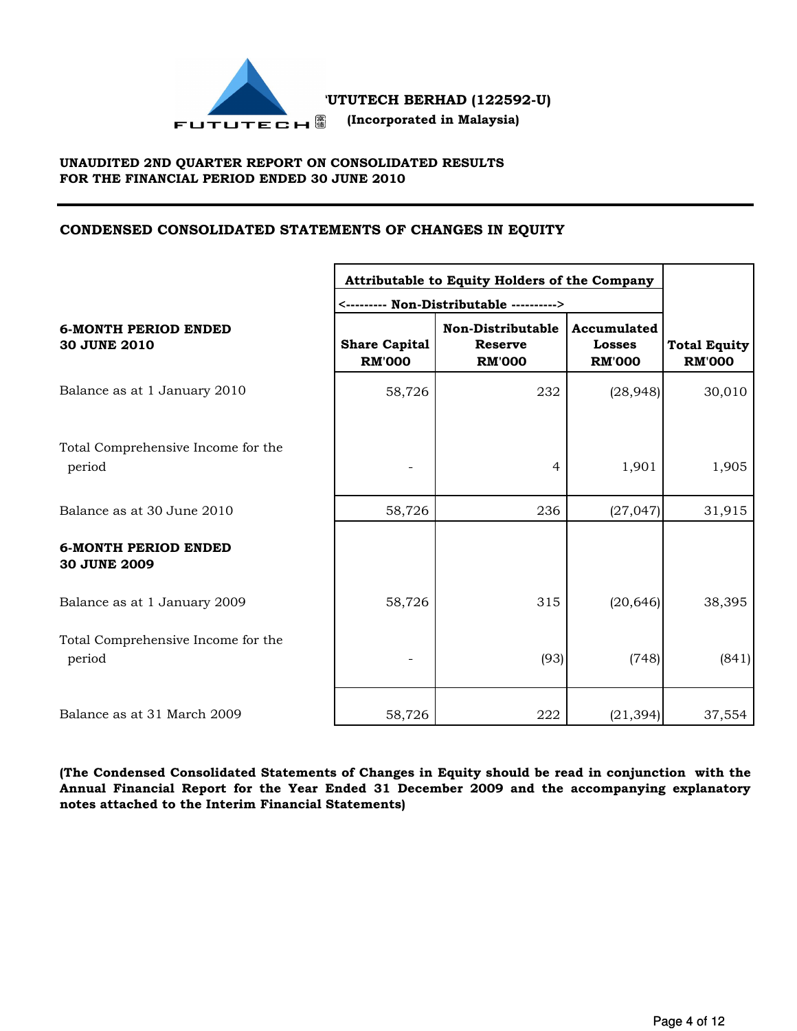

# **UNAUDITED 2ND QUARTER REPORT ON CONSOLIDATED RESULTS FOR THE FINANCIAL PERIOD ENDED 30 JUNE 2010**

# **CONDENSED CONSOLIDATED STATEMENTS OF CHANGES IN EQUITY**

|                                                    |                                       | Attributable to Equity Holders of the Company        |                                               |                                      |  |  |
|----------------------------------------------------|---------------------------------------|------------------------------------------------------|-----------------------------------------------|--------------------------------------|--|--|
| <b>6-MONTH PERIOD ENDED</b><br><b>30 JUNE 2010</b> | <b>Share Capital</b><br><b>RM'000</b> | Non-Distributable<br><b>Reserve</b><br><b>RM'000</b> | Accumulated<br><b>Losses</b><br><b>RM'000</b> | <b>Total Equity</b><br><b>RM'000</b> |  |  |
| Balance as at 1 January 2010                       | 58,726                                | 232                                                  | (28, 948)                                     | 30,010                               |  |  |
| Total Comprehensive Income for the<br>period       |                                       | 4                                                    | 1,901                                         | 1,905                                |  |  |
| Balance as at 30 June 2010                         | 58,726                                | 236                                                  | (27, 047)                                     | 31,915                               |  |  |
| <b>6-MONTH PERIOD ENDED</b><br>30 JUNE 2009        |                                       |                                                      |                                               |                                      |  |  |
| Balance as at 1 January 2009                       | 58,726                                | 315                                                  | (20, 646)                                     | 38,395                               |  |  |
| Total Comprehensive Income for the<br>period       |                                       | (93)                                                 | (748)                                         | (841)                                |  |  |
| Balance as at 31 March 2009                        | 58,726                                | 222                                                  | (21, 394)                                     | 37,554                               |  |  |

**(The Condensed Consolidated Statements of Changes in Equity should be read in conjunction with the Annual Financial Report for the Year Ended 31 December 2009 and the accompanying explanatory notes attached to the Interim Financial Statements)**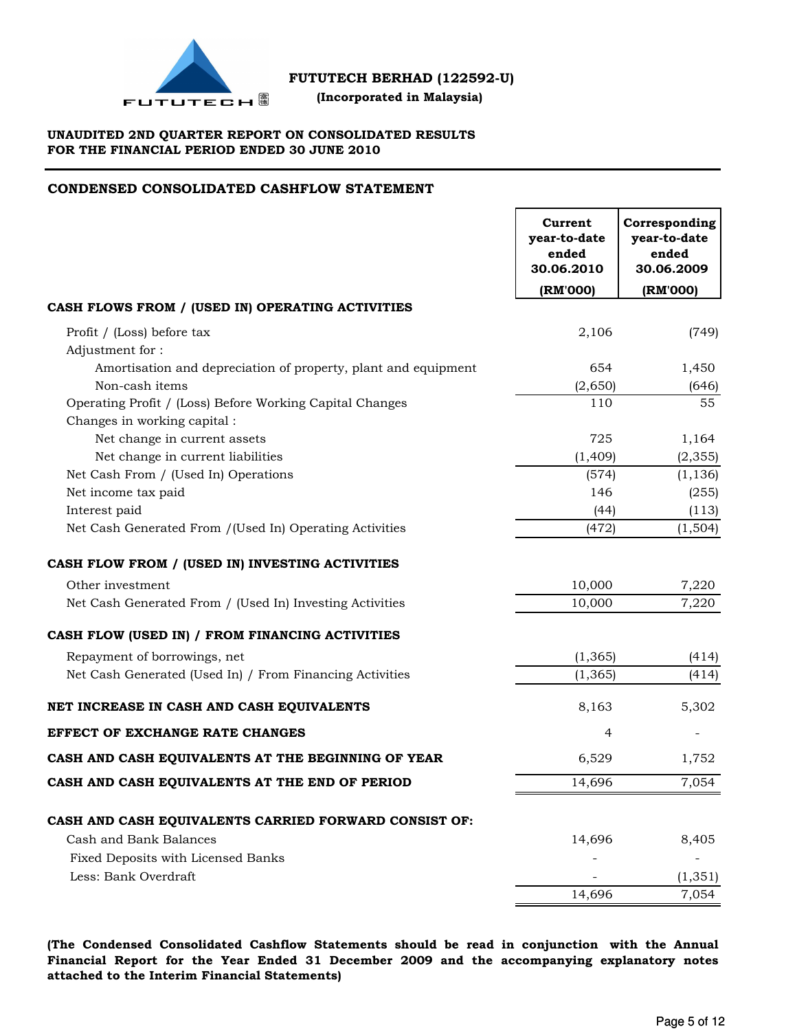

 **(Incorporated in Malaysia)**

# **UNAUDITED 2ND QUARTER REPORT ON CONSOLIDATED RESULTS FOR THE FINANCIAL PERIOD ENDED 30 JUNE 2010**

# **CONDENSED CONSOLIDATED CASHFLOW STATEMENT**

| (RM'000)<br>(RM'000)<br>CASH FLOWS FROM / (USED IN) OPERATING ACTIVITIES<br>2,106<br>Profit / (Loss) before tax<br>(749)<br>Adjustment for:<br>Amortisation and depreciation of property, plant and equipment<br>654<br>1,450<br>Non-cash items<br>(2,650)<br>(646)<br>55<br>Operating Profit / (Loss) Before Working Capital Changes<br>110<br>Changes in working capital :<br>Net change in current assets<br>725<br>1,164<br>Net change in current liabilities<br>(2, 355)<br>(1,409)<br>Net Cash From / (Used In) Operations<br>(574)<br>(1, 136)<br>Net income tax paid<br>146<br>(255)<br>Interest paid<br>(44)<br>(113)<br>(472)<br>(1,504)<br>Net Cash Generated From /(Used In) Operating Activities<br>10,000<br>Other investment<br>7,220<br>Net Cash Generated From / (Used In) Investing Activities<br>10,000<br>7,220<br>Repayment of borrowings, net<br>(1, 365)<br>(414)<br>Net Cash Generated (Used In) / From Financing Activities<br>(1, 365)<br>(414)<br>8,163<br>5,302<br>4<br>6,529<br>1,752<br>14,696<br>7,054<br>CASH AND CASH EQUIVALENTS CARRIED FORWARD CONSIST OF:<br>Cash and Bank Balances<br>14,696<br>8,405<br>Fixed Deposits with Licensed Banks<br>Less: Bank Overdraft<br>(1, 351)<br>7,054<br>14,696 |                                                    | Current<br>year-to-date<br>ended<br>30.06.2010 | Corresponding<br>year-to-date<br>ended<br>30.06.2009 |
|------------------------------------------------------------------------------------------------------------------------------------------------------------------------------------------------------------------------------------------------------------------------------------------------------------------------------------------------------------------------------------------------------------------------------------------------------------------------------------------------------------------------------------------------------------------------------------------------------------------------------------------------------------------------------------------------------------------------------------------------------------------------------------------------------------------------------------------------------------------------------------------------------------------------------------------------------------------------------------------------------------------------------------------------------------------------------------------------------------------------------------------------------------------------------------------------------------------------------------------|----------------------------------------------------|------------------------------------------------|------------------------------------------------------|
|                                                                                                                                                                                                                                                                                                                                                                                                                                                                                                                                                                                                                                                                                                                                                                                                                                                                                                                                                                                                                                                                                                                                                                                                                                          |                                                    |                                                |                                                      |
|                                                                                                                                                                                                                                                                                                                                                                                                                                                                                                                                                                                                                                                                                                                                                                                                                                                                                                                                                                                                                                                                                                                                                                                                                                          |                                                    |                                                |                                                      |
|                                                                                                                                                                                                                                                                                                                                                                                                                                                                                                                                                                                                                                                                                                                                                                                                                                                                                                                                                                                                                                                                                                                                                                                                                                          |                                                    |                                                |                                                      |
|                                                                                                                                                                                                                                                                                                                                                                                                                                                                                                                                                                                                                                                                                                                                                                                                                                                                                                                                                                                                                                                                                                                                                                                                                                          |                                                    |                                                |                                                      |
|                                                                                                                                                                                                                                                                                                                                                                                                                                                                                                                                                                                                                                                                                                                                                                                                                                                                                                                                                                                                                                                                                                                                                                                                                                          |                                                    |                                                |                                                      |
|                                                                                                                                                                                                                                                                                                                                                                                                                                                                                                                                                                                                                                                                                                                                                                                                                                                                                                                                                                                                                                                                                                                                                                                                                                          |                                                    |                                                |                                                      |
|                                                                                                                                                                                                                                                                                                                                                                                                                                                                                                                                                                                                                                                                                                                                                                                                                                                                                                                                                                                                                                                                                                                                                                                                                                          |                                                    |                                                |                                                      |
|                                                                                                                                                                                                                                                                                                                                                                                                                                                                                                                                                                                                                                                                                                                                                                                                                                                                                                                                                                                                                                                                                                                                                                                                                                          |                                                    |                                                |                                                      |
|                                                                                                                                                                                                                                                                                                                                                                                                                                                                                                                                                                                                                                                                                                                                                                                                                                                                                                                                                                                                                                                                                                                                                                                                                                          |                                                    |                                                |                                                      |
|                                                                                                                                                                                                                                                                                                                                                                                                                                                                                                                                                                                                                                                                                                                                                                                                                                                                                                                                                                                                                                                                                                                                                                                                                                          |                                                    |                                                |                                                      |
|                                                                                                                                                                                                                                                                                                                                                                                                                                                                                                                                                                                                                                                                                                                                                                                                                                                                                                                                                                                                                                                                                                                                                                                                                                          |                                                    |                                                |                                                      |
|                                                                                                                                                                                                                                                                                                                                                                                                                                                                                                                                                                                                                                                                                                                                                                                                                                                                                                                                                                                                                                                                                                                                                                                                                                          |                                                    |                                                |                                                      |
|                                                                                                                                                                                                                                                                                                                                                                                                                                                                                                                                                                                                                                                                                                                                                                                                                                                                                                                                                                                                                                                                                                                                                                                                                                          |                                                    |                                                |                                                      |
|                                                                                                                                                                                                                                                                                                                                                                                                                                                                                                                                                                                                                                                                                                                                                                                                                                                                                                                                                                                                                                                                                                                                                                                                                                          | CASH FLOW FROM / (USED IN) INVESTING ACTIVITIES    |                                                |                                                      |
|                                                                                                                                                                                                                                                                                                                                                                                                                                                                                                                                                                                                                                                                                                                                                                                                                                                                                                                                                                                                                                                                                                                                                                                                                                          |                                                    |                                                |                                                      |
|                                                                                                                                                                                                                                                                                                                                                                                                                                                                                                                                                                                                                                                                                                                                                                                                                                                                                                                                                                                                                                                                                                                                                                                                                                          |                                                    |                                                |                                                      |
|                                                                                                                                                                                                                                                                                                                                                                                                                                                                                                                                                                                                                                                                                                                                                                                                                                                                                                                                                                                                                                                                                                                                                                                                                                          | CASH FLOW (USED IN) / FROM FINANCING ACTIVITIES    |                                                |                                                      |
|                                                                                                                                                                                                                                                                                                                                                                                                                                                                                                                                                                                                                                                                                                                                                                                                                                                                                                                                                                                                                                                                                                                                                                                                                                          |                                                    |                                                |                                                      |
|                                                                                                                                                                                                                                                                                                                                                                                                                                                                                                                                                                                                                                                                                                                                                                                                                                                                                                                                                                                                                                                                                                                                                                                                                                          |                                                    |                                                |                                                      |
|                                                                                                                                                                                                                                                                                                                                                                                                                                                                                                                                                                                                                                                                                                                                                                                                                                                                                                                                                                                                                                                                                                                                                                                                                                          | NET INCREASE IN CASH AND CASH EQUIVALENTS          |                                                |                                                      |
|                                                                                                                                                                                                                                                                                                                                                                                                                                                                                                                                                                                                                                                                                                                                                                                                                                                                                                                                                                                                                                                                                                                                                                                                                                          | <b>EFFECT OF EXCHANGE RATE CHANGES</b>             |                                                |                                                      |
|                                                                                                                                                                                                                                                                                                                                                                                                                                                                                                                                                                                                                                                                                                                                                                                                                                                                                                                                                                                                                                                                                                                                                                                                                                          | CASH AND CASH EQUIVALENTS AT THE BEGINNING OF YEAR |                                                |                                                      |
|                                                                                                                                                                                                                                                                                                                                                                                                                                                                                                                                                                                                                                                                                                                                                                                                                                                                                                                                                                                                                                                                                                                                                                                                                                          | CASH AND CASH EQUIVALENTS AT THE END OF PERIOD     |                                                |                                                      |
|                                                                                                                                                                                                                                                                                                                                                                                                                                                                                                                                                                                                                                                                                                                                                                                                                                                                                                                                                                                                                                                                                                                                                                                                                                          |                                                    |                                                |                                                      |
|                                                                                                                                                                                                                                                                                                                                                                                                                                                                                                                                                                                                                                                                                                                                                                                                                                                                                                                                                                                                                                                                                                                                                                                                                                          |                                                    |                                                |                                                      |
|                                                                                                                                                                                                                                                                                                                                                                                                                                                                                                                                                                                                                                                                                                                                                                                                                                                                                                                                                                                                                                                                                                                                                                                                                                          |                                                    |                                                |                                                      |
|                                                                                                                                                                                                                                                                                                                                                                                                                                                                                                                                                                                                                                                                                                                                                                                                                                                                                                                                                                                                                                                                                                                                                                                                                                          |                                                    |                                                |                                                      |
|                                                                                                                                                                                                                                                                                                                                                                                                                                                                                                                                                                                                                                                                                                                                                                                                                                                                                                                                                                                                                                                                                                                                                                                                                                          |                                                    |                                                |                                                      |

**(The Condensed Consolidated Cashflow Statements should be read in conjunction with the Annual Financial Report for the Year Ended 31 December 2009 and the accompanying explanatory notes attached to the Interim Financial Statements)**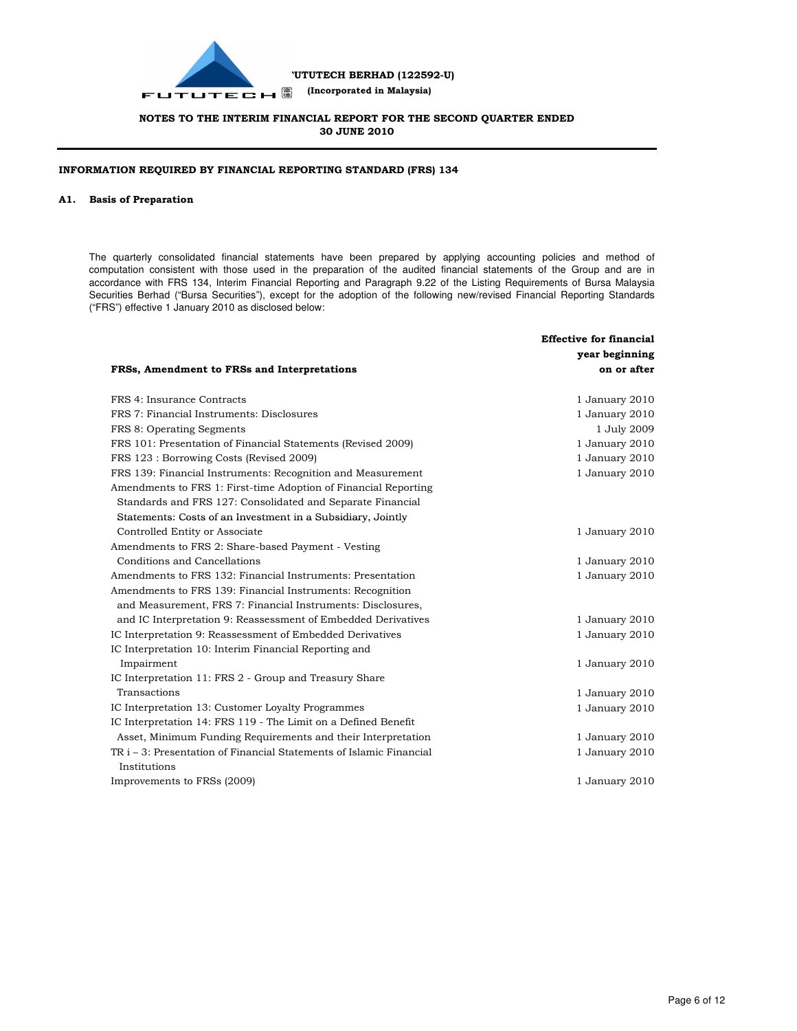

### **INFORMATION REQUIRED BY FINANCIAL REPORTING STANDARD (FRS) 134**

#### **A1. Basis of Preparation**

The quarterly consolidated financial statements have been prepared by applying accounting policies and method of computation consistent with those used in the preparation of the audited financial statements of the Group and are in accordance with FRS 134, Interim Financial Reporting and Paragraph 9.22 of the Listing Requirements of Bursa Malaysia Securities Berhad ("Bursa Securities"), except for the adoption of the following new/revised Financial Reporting Standards ("FRS") effective 1 January 2010 as disclosed below:

|                                                                     | <b>Effective for financial</b> |
|---------------------------------------------------------------------|--------------------------------|
|                                                                     | year beginning                 |
| FRSs, Amendment to FRSs and Interpretations                         | on or after                    |
| FRS 4: Insurance Contracts                                          | 1 January 2010                 |
| FRS 7: Financial Instruments: Disclosures                           | 1 January 2010                 |
| FRS 8: Operating Segments                                           | 1 July 2009                    |
| FRS 101: Presentation of Financial Statements (Revised 2009)        | 1 January 2010                 |
| FRS 123 : Borrowing Costs (Revised 2009)                            | 1 January 2010                 |
| FRS 139: Financial Instruments: Recognition and Measurement         | 1 January 2010                 |
| Amendments to FRS 1: First-time Adoption of Financial Reporting     |                                |
| Standards and FRS 127: Consolidated and Separate Financial          |                                |
| Statements: Costs of an Investment in a Subsidiary, Jointly         |                                |
| Controlled Entity or Associate                                      | 1 January 2010                 |
| Amendments to FRS 2: Share-based Payment - Vesting                  |                                |
| Conditions and Cancellations                                        | 1 January 2010                 |
| Amendments to FRS 132: Financial Instruments: Presentation          | 1 January 2010                 |
| Amendments to FRS 139: Financial Instruments: Recognition           |                                |
| and Measurement, FRS 7: Financial Instruments: Disclosures,         |                                |
| and IC Interpretation 9: Reassessment of Embedded Derivatives       | 1 January 2010                 |
| IC Interpretation 9: Reassessment of Embedded Derivatives           | 1 January 2010                 |
| IC Interpretation 10: Interim Financial Reporting and               |                                |
| Impairment                                                          | 1 January 2010                 |
| IC Interpretation 11: FRS 2 - Group and Treasury Share              |                                |
| Transactions                                                        | 1 January 2010                 |
| IC Interpretation 13: Customer Loyalty Programmes                   | 1 January 2010                 |
| IC Interpretation 14: FRS 119 - The Limit on a Defined Benefit      |                                |
| Asset, Minimum Funding Requirements and their Interpretation        | 1 January 2010                 |
| TR i – 3: Presentation of Financial Statements of Islamic Financial | 1 January 2010                 |
| Institutions                                                        |                                |
| Improvements to FRSs (2009)                                         | 1 January 2010                 |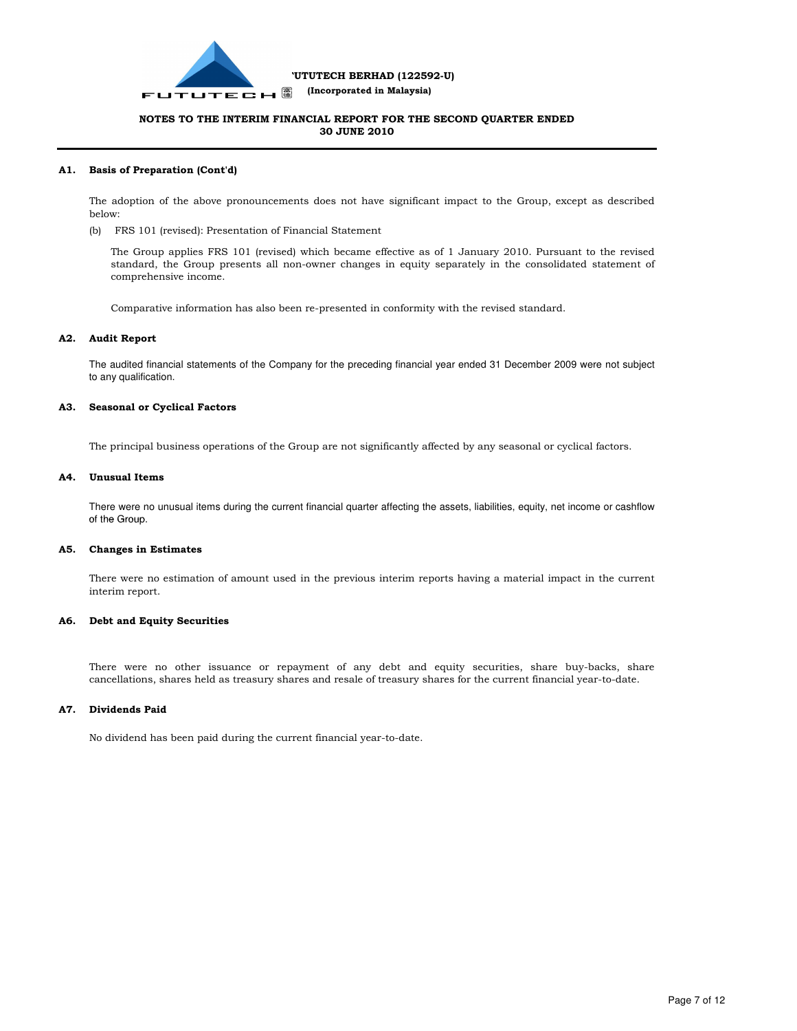

#### **A1. Basis of Preparation (Cont'd)**

The adoption of the above pronouncements does not have significant impact to the Group, except as described below:

(b) FRS 101 (revised): Presentation of Financial Statement

The Group applies FRS 101 (revised) which became effective as of 1 January 2010. Pursuant to the revised standard, the Group presents all non-owner changes in equity separately in the consolidated statement of comprehensive income.

Comparative information has also been re-presented in conformity with the revised standard.

#### **A2. Audit Report**

The audited financial statements of the Company for the preceding financial year ended 31 December 2009 were not subject to any qualification.

#### **A3. Seasonal or Cyclical Factors**

The principal business operations of the Group are not significantly affected by any seasonal or cyclical factors.

#### **A4. Unusual Items**

There were no unusual items during the current financial quarter affecting the assets, liabilities, equity, net income or cashflow of the Group.

#### **A5. Changes in Estimates**

There were no estimation of amount used in the previous interim reports having a material impact in the current interim report.

#### **A6. Debt and Equity Securities**

There were no other issuance or repayment of any debt and equity securities, share buy-backs, share cancellations, shares held as treasury shares and resale of treasury shares for the current financial year-to-date.

#### **A7. Dividends Paid**

No dividend has been paid during the current financial year-to-date.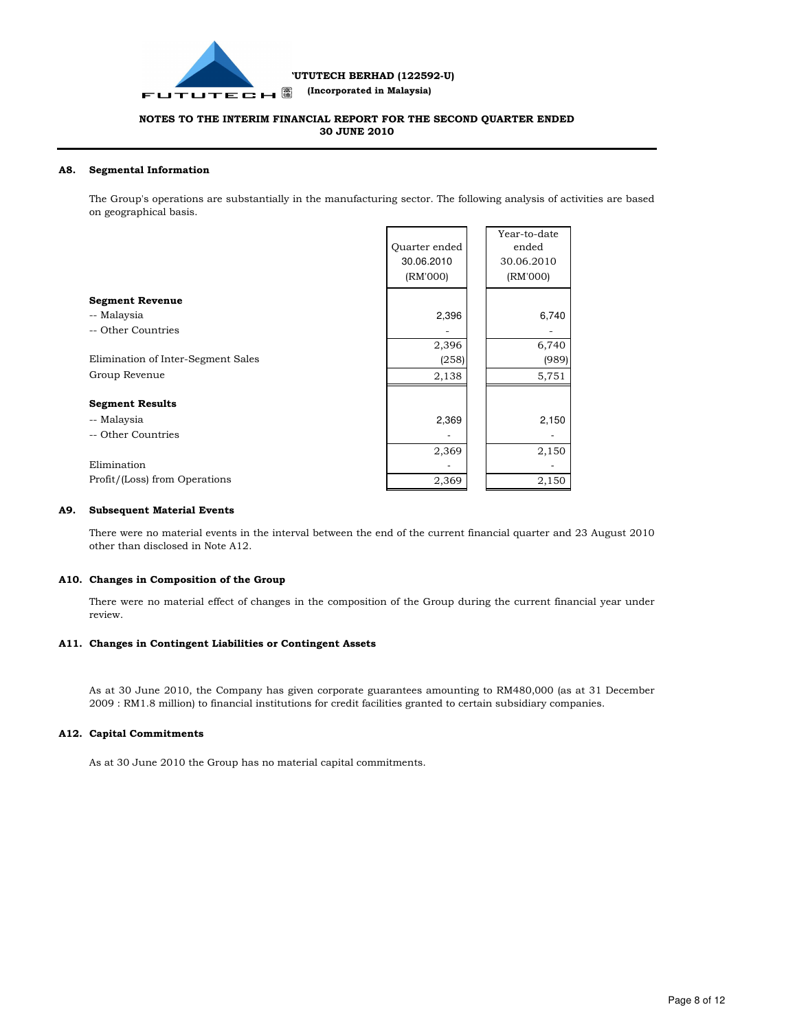

### **A8. Segmental Information**

The Group's operations are substantially in the manufacturing sector. The following analysis of activities are based on geographical basis.

|                                    | Quarter ended | Year-to-date<br>ended |
|------------------------------------|---------------|-----------------------|
|                                    |               |                       |
|                                    | 30.06.2010    | 30.06.2010            |
|                                    | (RM'000)      | (RM'000)              |
| <b>Segment Revenue</b>             |               |                       |
| -- Malaysia                        | 2,396         | 6,740                 |
| -- Other Countries                 |               |                       |
|                                    | 2,396         | 6,740                 |
| Elimination of Inter-Segment Sales | (258)         | (989)                 |
| Group Revenue                      | 2,138         | 5,751                 |
| <b>Segment Results</b>             |               |                       |
|                                    |               |                       |
| -- Malaysia                        | 2,369         | 2,150                 |
| -- Other Countries                 |               |                       |
|                                    | 2,369         | 2,150                 |
| Elimination                        |               |                       |
| Profit/(Loss) from Operations      | 2,369         | 2,150                 |

### **A9. Subsequent Material Events**

There were no material events in the interval between the end of the current financial quarter and 23 August 2010 other than disclosed in Note A12.

#### **A10. Changes in Composition of the Group**

There were no material effect of changes in the composition of the Group during the current financial year under review.

#### **A11. Changes in Contingent Liabilities or Contingent Assets**

As at 30 June 2010, the Company has given corporate guarantees amounting to RM480,000 (as at 31 December 2009 : RM1.8 million) to financial institutions for credit facilities granted to certain subsidiary companies.

#### **A12. Capital Commitments**

As at 30 June 2010 the Group has no material capital commitments.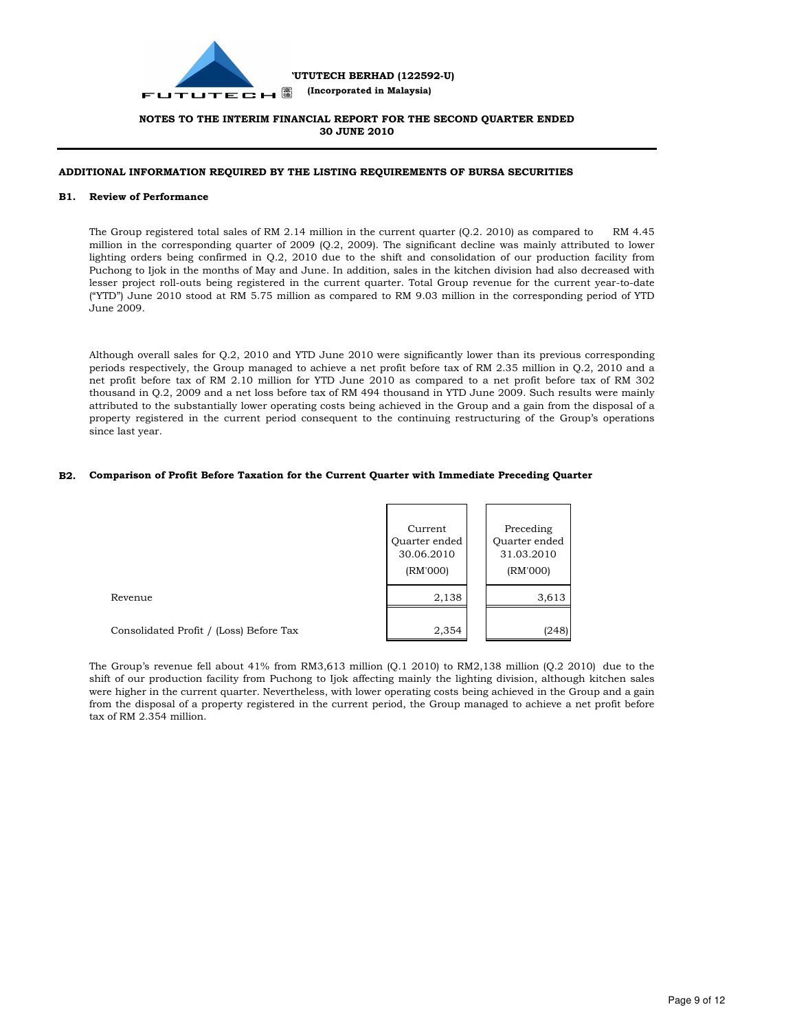

### **ADDITIONAL INFORMATION REQUIRED BY THE LISTING REQUIREMENTS OF BURSA SECURITIES**

#### **B1. Review of Performance**

The Group registered total sales of RM 2.14 million in the current quarter (Q.2. 2010) as compared to RM 4.45 million in the corresponding quarter of 2009 (Q.2, 2009). The significant decline was mainly attributed to lower lighting orders being confirmed in Q.2, 2010 due to the shift and consolidation of our production facility from Puchong to Ijok in the months of May and June. In addition, sales in the kitchen division had also decreased with lesser project roll-outs being registered in the current quarter. Total Group revenue for the current year-to-date ("YTD") June 2010 stood at RM 5.75 million as compared to RM 9.03 million in the corresponding period of YTD June 2009.

Although overall sales for Q.2, 2010 and YTD June 2010 were significantly lower than its previous corresponding periods respectively, the Group managed to achieve a net profit before tax of RM 2.35 million in Q.2, 2010 and a net profit before tax of RM 2.10 million for YTD June 2010 as compared to a net profit before tax of RM 302 thousand in Q.2, 2009 and a net loss before tax of RM 494 thousand in YTD June 2009. Such results were mainly attributed to the substantially lower operating costs being achieved in the Group and a gain from the disposal of a property registered in the current period consequent to the continuing restructuring of the Group's operations since last year.

#### **B2. Comparison of Profit Before Taxation for the Current Quarter with Immediate Preceding Quarter**

|                                         | Current<br>Quarter ended<br>30.06.2010<br>(RM'000) | Preceding<br>Quarter ended<br>31.03.2010<br>(RM'000) |
|-----------------------------------------|----------------------------------------------------|------------------------------------------------------|
| Revenue                                 | 2,138                                              | 3,613                                                |
| Consolidated Profit / (Loss) Before Tax | 2,354                                              | (248)                                                |

The Group's revenue fell about 41% from RM3,613 million (Q.1 2010) to RM2,138 million (Q.2 2010) due to the shift of our production facility from Puchong to Ijok affecting mainly the lighting division, although kitchen sales were higher in the current quarter. Nevertheless, with lower operating costs being achieved in the Group and a gain from the disposal of a property registered in the current period, the Group managed to achieve a net profit before tax of RM 2.354 million.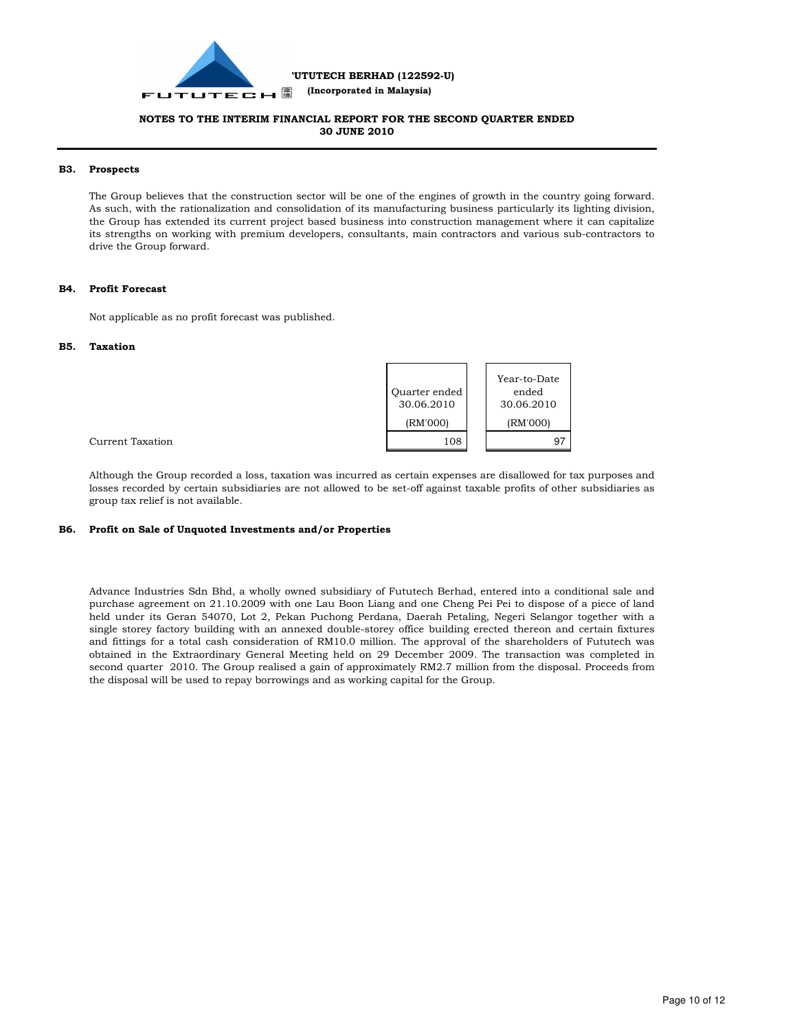

 **(Incorporated in Malaysia)**

### **NOTES TO THE INTERIM FINANCIAL REPORT FOR THE SECOND QUARTER ENDED 30 JUNE 2010**

#### **B3. Prospects**

The Group believes that the construction sector will be one of the engines of growth in the country going forward. As such, with the rationalization and consolidation of its manufacturing business particularly its lighting division, the Group has extended its current project based business into construction management where it can capitalize its strengths on working with premium developers, consultants, main contractors and various sub-contractors to drive the Group forward.

### **B4. Profit Forecast**

Not applicable as no profit forecast was published.

#### **B5. Taxation**



Current Taxation

Although the Group recorded a loss, taxation was incurred as certain expenses are disallowed for tax purposes and losses recorded by certain subsidiaries are not allowed to be set-off against taxable profits of other subsidiaries as group tax relief is not available.

#### **B6. Profit on Sale of Unquoted Investments and/or Properties**

Advance Industries Sdn Bhd, a wholly owned subsidiary of Fututech Berhad, entered into a conditional sale and purchase agreement on 21.10.2009 with one Lau Boon Liang and one Cheng Pei Pei to dispose of a piece of land held under its Geran 54070, Lot 2, Pekan Puchong Perdana, Daerah Petaling, Negeri Selangor together with a single storey factory building with an annexed double-storey office building erected thereon and certain fixtures and fittings for a total cash consideration of RM10.0 million. The approval of the shareholders of Fututech was obtained in the Extraordinary General Meeting held on 29 December 2009. The transaction was completed in second quarter 2010. The Group realised a gain of approximately RM2.7 million from the disposal. Proceeds from the disposal will be used to repay borrowings and as working capital for the Group.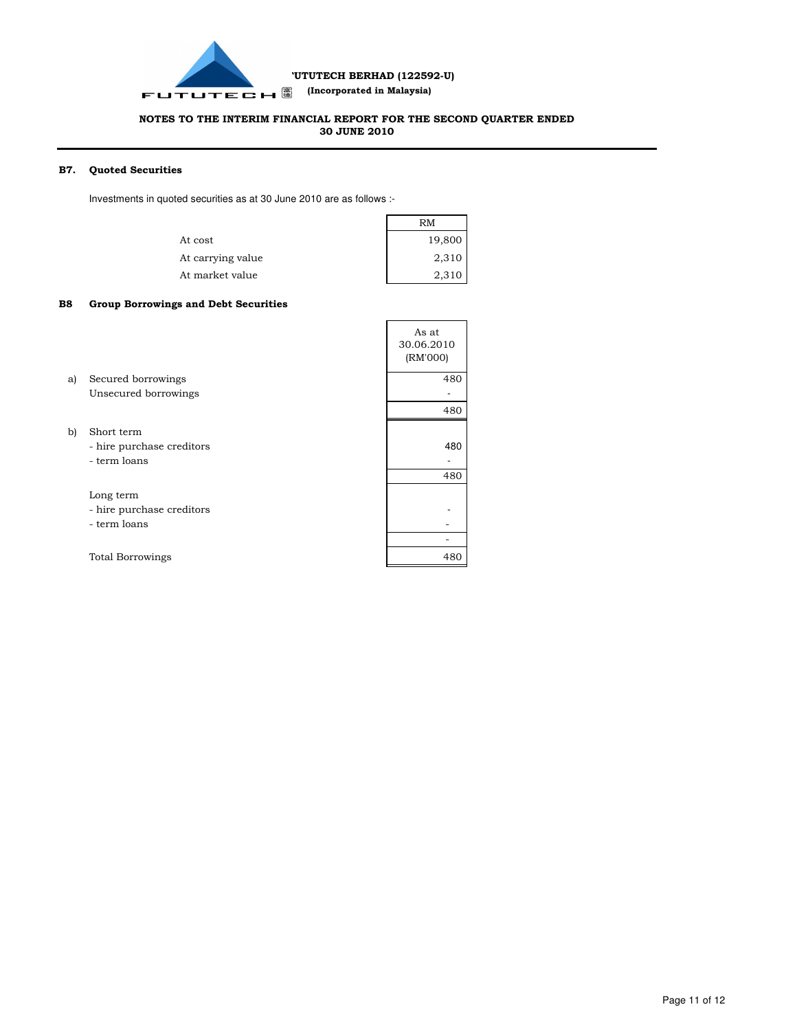

### **NOTES TO THE INTERIM FINANCIAL REPORT FOR THE SECOND QUARTER ENDED 30 JUNE 2010**

#### **B7. Quoted Securities**

Investments in quoted securities as at 30 June 2010 are as follows :-

|                   | RM     |
|-------------------|--------|
| At cost           | 19,800 |
| At carrying value | 2,310  |
| At market value   | 2,310  |

#### **B8 Group Borrowings and Debt Securities**

|    |                                                         | As at<br>30.06.2010<br>(RM'000) |
|----|---------------------------------------------------------|---------------------------------|
| a) | Secured borrowings                                      | 480                             |
|    | Unsecured borrowings                                    |                                 |
|    |                                                         | 480                             |
| b) | Short term<br>- hire purchase creditors<br>- term loans | 480                             |
|    |                                                         | 480                             |
|    | Long term<br>- hire purchase creditors                  |                                 |
|    | - term loans                                            |                                 |
|    |                                                         |                                 |
|    | <b>Total Borrowings</b>                                 | 480                             |